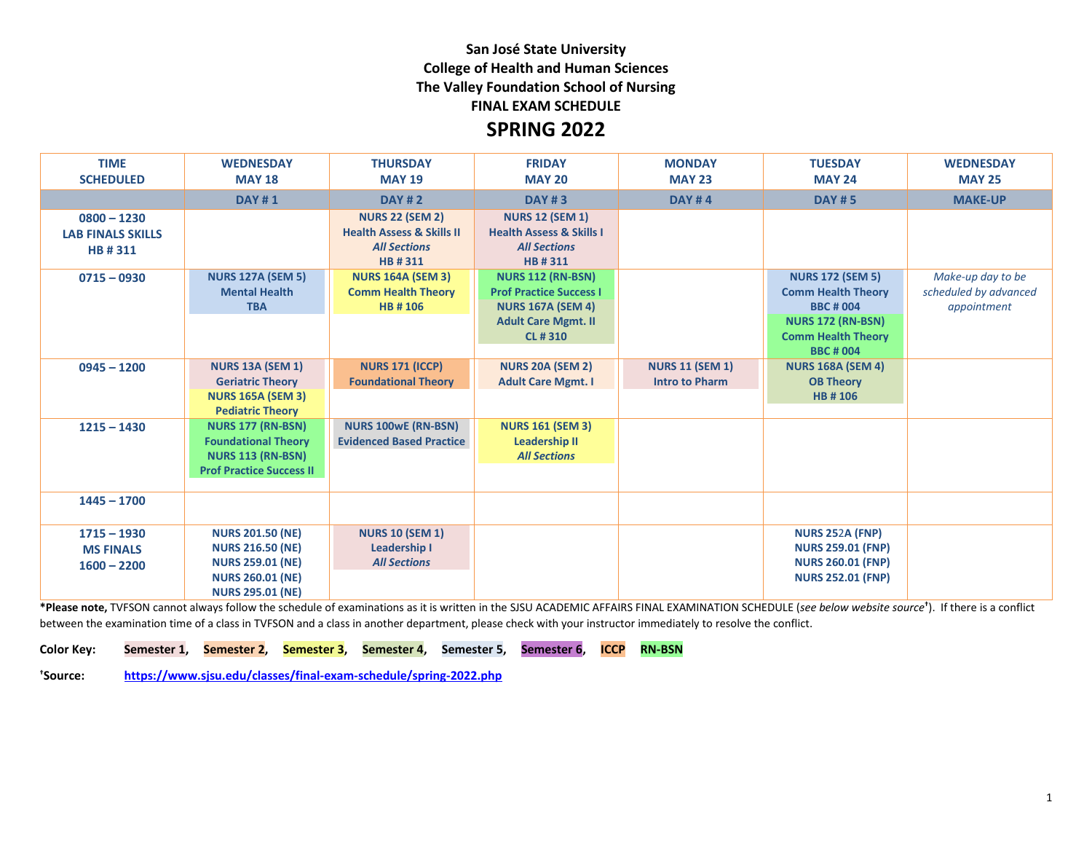## **San José State University College of Health and Human Sciences The Valley Foundation School of Nursing FINAL EXAM SCHEDULE**

## **SPRING 2022**

| <b>TIME</b>              | <b>WEDNESDAY</b>                | <b>THURSDAY</b>                      | <b>FRIDAY</b>                       | <b>MONDAY</b>          | <b>TUESDAY</b>            | <b>WEDNESDAY</b>      |
|--------------------------|---------------------------------|--------------------------------------|-------------------------------------|------------------------|---------------------------|-----------------------|
| <b>SCHEDULED</b>         | <b>MAY 18</b>                   | <b>MAY 19</b>                        | <b>MAY 20</b>                       | <b>MAY 23</b>          | <b>MAY 24</b>             | <b>MAY 25</b>         |
|                          | <b>DAY#1</b>                    | <b>DAY #2</b>                        | <b>DAY #3</b>                       | <b>DAY #4</b>          | <b>DAY #5</b>             | <b>MAKE-UP</b>        |
| $0800 - 1230$            |                                 | <b>NURS 22 (SEM 2)</b>               | <b>NURS 12 (SEM 1)</b>              |                        |                           |                       |
| <b>LAB FINALS SKILLS</b> |                                 | <b>Health Assess &amp; Skills II</b> | <b>Health Assess &amp; Skills I</b> |                        |                           |                       |
| HB#311                   |                                 | <b>All Sections</b>                  | <b>All Sections</b>                 |                        |                           |                       |
|                          |                                 | HB#311                               | HB#311                              |                        |                           |                       |
| $0715 - 0930$            | <b>NURS 127A (SEM 5)</b>        | <b>NURS 164A (SEM 3)</b>             | <b>NURS 112 (RN-BSN)</b>            |                        | <b>NURS 172 (SEM 5)</b>   | Make-up day to be     |
|                          | <b>Mental Health</b>            | <b>Comm Health Theory</b>            | <b>Prof Practice Success I</b>      |                        | <b>Comm Health Theory</b> | scheduled by advanced |
|                          | <b>TBA</b>                      | <b>HB#106</b>                        | <b>NURS 167A (SEM 4)</b>            |                        | <b>BBC#004</b>            | appointment           |
|                          |                                 |                                      | <b>Adult Care Mgmt. II</b>          |                        | <b>NURS 172 (RN-BSN)</b>  |                       |
|                          |                                 |                                      | <b>CL#310</b>                       |                        | <b>Comm Health Theory</b> |                       |
|                          |                                 |                                      |                                     |                        | <b>BBC#004</b>            |                       |
| $0945 - 1200$            | <b>NURS 13A (SEM 1)</b>         | <b>NURS 171 (ICCP)</b>               | <b>NURS 20A (SEM 2)</b>             | <b>NURS 11 (SEM 1)</b> | <b>NURS 168A (SEM 4)</b>  |                       |
|                          | <b>Geriatric Theory</b>         | <b>Foundational Theory</b>           | <b>Adult Care Mgmt. I</b>           | <b>Intro to Pharm</b>  | <b>OB Theory</b>          |                       |
|                          | <b>NURS 165A (SEM 3)</b>        |                                      |                                     |                        | HB #106                   |                       |
|                          | <b>Pediatric Theory</b>         |                                      |                                     |                        |                           |                       |
| $1215 - 1430$            | <b>NURS 177 (RN-BSN)</b>        | <b>NURS 100wE (RN-BSN)</b>           | <b>NURS 161 (SEM 3)</b>             |                        |                           |                       |
|                          | <b>Foundational Theory</b>      | <b>Evidenced Based Practice</b>      | <b>Leadership II</b>                |                        |                           |                       |
|                          | <b>NURS 113 (RN-BSN)</b>        |                                      | <b>All Sections</b>                 |                        |                           |                       |
|                          | <b>Prof Practice Success II</b> |                                      |                                     |                        |                           |                       |
| $1445 - 1700$            |                                 |                                      |                                     |                        |                           |                       |
|                          |                                 |                                      |                                     |                        |                           |                       |
| $1715 - 1930$            | <b>NURS 201.50 (NE)</b>         | <b>NURS 10 (SEM 1)</b>               |                                     |                        | <b>NURS 252A (FNP)</b>    |                       |
| <b>MS FINALS</b>         | <b>NURS 216.50 (NE)</b>         | <b>Leadership I</b>                  |                                     |                        | <b>NURS 259.01 (FNP)</b>  |                       |
| $1600 - 2200$            | <b>NURS 259.01 (NE)</b>         | <b>All Sections</b>                  |                                     |                        | <b>NURS 260.01 (FNP)</b>  |                       |
|                          | <b>NURS 260.01 (NE)</b>         |                                      |                                     |                        | <b>NURS 252.01 (FNP)</b>  |                       |
|                          | <b>NURS 295.01 (NE)</b>         |                                      |                                     |                        |                           |                       |

**\*Please note,** TVFSON cannot always follow the schedule of examinations as it is written in the SJSU ACADEMIC AFFAIRS FINAL EXAMINATION SCHEDULE (*see below website source***†** ). If there is a conflict between the examination time of a class in TVFSON and a class in another department, please check with your instructor immediately to resolve the conflict.

**Color Key: Semester 1, Semester 2, Semester 3, Semester 4, Semester 5, Semester 6, ICCP RN-BSN**

**†Source: <https://www.sjsu.edu/classes/final-exam-schedule/spring-2022.php>**